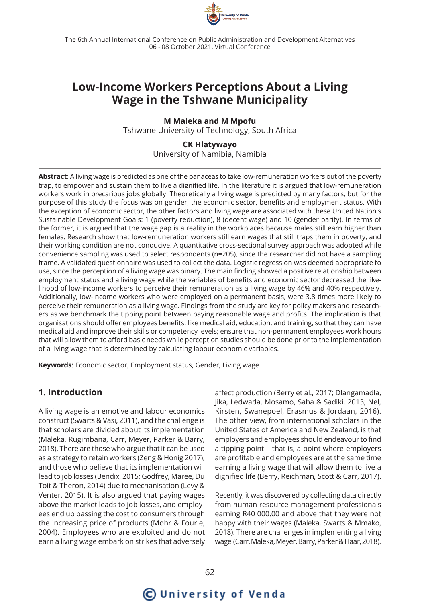

The 6th Annual International Conference on Public Administration and Development Alternatives 06 - 08 October 2021, Virtual Conference

## **Low-Income Workers Perceptions About a Living Wage in the Tshwane Municipality**

**M Maleka and M Mpofu** Tshwane University of Technology, South Africa

> **CK Hlatywayo** University of Namibia, Namibia

**Abstract**: A living wage is predicted as one of the panaceas to take low-remuneration workers out of the poverty trap, to empower and sustain them to live a dignified life. In the literature it is argued that low-remuneration workers work in precarious jobs globally. Theoretically a living wage is predicted by many factors, but for the purpose of this study the focus was on gender, the economic sector, benefits and employment status. With the exception of economic sector, the other factors and living wage are associated with these United Nation's Sustainable Development Goals: 1 (poverty reduction), 8 (decent wage) and 10 (gender parity). In terms of the former, it is argued that the wage gap is a reality in the workplaces because males still earn higher than females. Research show that low-remuneration workers still earn wages that still traps them in poverty, and their working condition are not conducive. A quantitative cross-sectional survey approach was adopted while convenience sampling was used to select respondents (n=205), since the researcher did not have a sampling frame. A validated questionnaire was used to collect the data. Logistic regression was deemed appropriate to use, since the perception of a living wage was binary. The main finding showed a positive relationship between employment status and a living wage while the variables of benefits and economic sector decreased the likelihood of low-income workers to perceive their remuneration as a living wage by 46% and 40% respectively. Additionally, low-income workers who were employed on a permanent basis, were 3.8 times more likely to perceive their remuneration as a living wage. Findings from the study are key for policy makers and researchers as we benchmark the tipping point between paying reasonable wage and profits. The implication is that organisations should offer employees benefits, like medical aid, education, and training, so that they can have medical aid and improve their skills or competency levels; ensure that non-permanent employees work hours that will allow them to afford basic needs while perception studies should be done prior to the implementation of a living wage that is determined by calculating labour economic variables.

**Keywords**: Economic sector, Employment status, Gender, Living wage

### **1. Introduction**

A living wage is an emotive and labour economics construct (Swarts & Vasi, 2011), and the challenge is that scholars are divided about its implementation (Maleka, Rugimbana, Carr, Meyer, Parker & Barry, 2018). There are those who argue that it can be used as a strategy to retain workers (Zeng & Honig 2017), and those who believe that its implementation will lead to job losses (Bendix, 2015; Godfrey, Maree, Du Toit & Theron, 2014) due to mechanisation (Levy & Venter, 2015). It is also argued that paying wages above the market leads to job losses, and employees end up passing the cost to consumers through the increasing price of products (Mohr & Fourie, 2004). Employees who are exploited and do not earn a living wage embark on strikes that adversely

affect production (Berry et al., 2017; Dlangamadla, Jika, Ledwada, Mosamo, Saba & Sadiki, 2013; Nel, Kirsten, Swanepoel, Erasmus & Jordaan, 2016). The other view, from international scholars in the United States of America and New Zealand, is that employers and employees should endeavour to find a tipping point – that is, a point where employers are profitable and employees are at the same time earning a living wage that will allow them to live a dignified life (Berry, Reichman, Scott & Carr, 2017).

Recently, it was discovered by collecting data directly from human resource management professionals earning R40 000.00 and above that they were not happy with their wages (Maleka, Swarts & Mmako, 2018). There are challenges in implementing a living wage (Carr, Maleka, Meyer, Barry, Parker & Haar, 2018).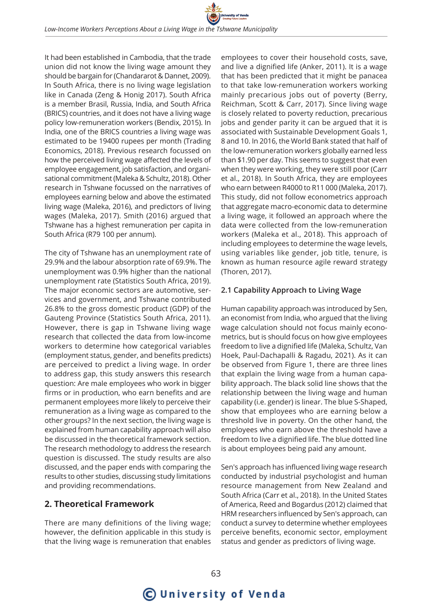It had been established in Cambodia, that the trade union did not know the living wage amount they should be bargain for (Chandararot & Dannet, 2009). In South Africa, there is no living wage legislation like in Canada (Zeng & Honig 2017). South Africa is a member Brasil, Russia, India, and South Africa (BRICS) countries, and it does not have a living wage policy low-remuneration workers (Bendix, 2015). In India, one of the BRICS countries a living wage was estimated to be 19400 rupees per month (Trading Economics, 2018). Previous research focussed on how the perceived living wage affected the levels of employee engagement, job satisfaction, and organisational commitment (Maleka & Schultz, 2018). Other research in Tshwane focussed on the narratives of employees earning below and above the estimated living wage (Maleka, 2016), and predictors of living wages (Maleka, 2017). Smith (2016) argued that Tshwane has a highest remuneration per capita in South Africa (R79 100 per annum).

The city of Tshwane has an unemployment rate of 29.9% and the labour absorption rate of 69.9%. The unemployment was 0.9% higher than the national unemployment rate (Statistics South Africa, 2019). The major economic sectors are automotive, services and government, and Tshwane contributed 26.8% to the gross domestic product (GDP) of the Gauteng Province (Statistics South Africa, 2011). However, there is gap in Tshwane living wage research that collected the data from low-income workers to determine how categorical variables (employment status, gender, and benefits predicts) are perceived to predict a living wage. In order to address gap, this study answers this research question: Are male employees who work in bigger firms or in production, who earn benefits and are permanent employees more likely to perceive their remuneration as a living wage as compared to the other groups? In the next section, the living wage is explained from human capability approach will also be discussed in the theoretical framework section. The research methodology to address the research question is discussed. The study results are also discussed, and the paper ends with comparing the results to other studies, discussing study limitations and providing recommendations.

## **2. Theoretical Framework**

There are many definitions of the living wage; however, the definition applicable in this study is that the living wage is remuneration that enables

employees to cover their household costs, save, and live a dignified life (Anker, 2011). It is a wage that has been predicted that it might be panacea to that take low-remuneration workers working mainly precarious jobs out of poverty (Berry, Reichman, Scott & Carr, 2017). Since living wage is closely related to poverty reduction, precarious jobs and gender parity it can be argued that it is associated with Sustainable Development Goals 1, 8 and 10. In 2016, the World Bank stated that half of the low-remuneration workers globally earned less than \$1.90 per day. This seems to suggest that even when they were working, they were still poor (Carr et al., 2018). In South Africa, they are employees who earn between R4000 to R11 000 (Maleka, 2017). This study, did not follow econometrics approach that aggregate macro-economic data to determine a living wage, it followed an approach where the data were collected from the low-remuneration workers (Maleka et al., 2018). This approach of including employees to determine the wage levels, using variables like gender, job title, tenure, is known as human resource agile reward strategy (Thoren, 2017).

## **2.1 Capability Approach to Living Wage**

Human capability approach was introduced by Sen, an economist from India, who argued that the living wage calculation should not focus mainly econometrics, but is should focus on how give employees freedom to live a dignified life (Maleka, Schultz, Van Hoek, Paul-Dachapalli & Ragadu, 2021). As it can be observed from Figure 1, there are three lines that explain the living wage from a human capability approach. The black solid line shows that the relationship between the living wage and human capability (i.e. gender) is linear. The blue S-Shaped, show that employees who are earning below a threshold live in poverty. On the other hand, the employees who earn above the threshold have a freedom to live a dignified life. The blue dotted line is about employees being paid any amount.

Sen's approach has influenced living wage research conducted by industrial psychologist and human resource management from New Zealand and South Africa (Carr et al., 2018). In the United States of America, Reed and Bogardus (2012) claimed that HRM researchers influenced by Sen's approach, can conduct a survey to determine whether employees perceive benefits, economic sector, employment status and gender as predictors of living wage.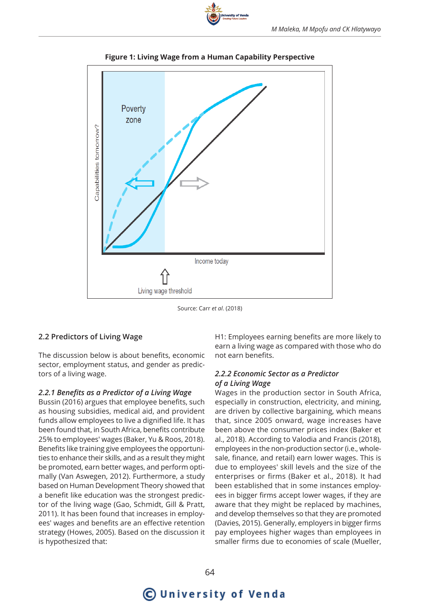

**Figure 1: Living Wage from a Human Capability Perspective**

Source: Carr *et al*. (2018)

## **2.2 Predictors of Living Wage**

The discussion below is about benefits, economic sector, employment status, and gender as predictors of a living wage.

### *2.2.1 Benefits as a Predictor of a Living Wage*

Bussin (2016) argues that employee benefits, such as housing subsidies, medical aid, and provident funds allow employees to live a dignified life. It has been found that, in South Africa, benefits contribute 25% to employees' wages (Baker, Yu & Roos, 2018). Benefits like training give employees the opportunities to enhance their skills, and as a result they might be promoted, earn better wages, and perform optimally (Van Aswegen, 2012). Furthermore, a study based on Human Development Theory showed that a benefit like education was the strongest predictor of the living wage (Gao, Schmidt, Gill & Pratt, 2011). It has been found that increases in employees' wages and benefits are an effective retention strategy (Howes, 2005). Based on the discussion it is hypothesized that:

H1: Employees earning benefits are more likely to earn a living wage as compared with those who do not earn benefits.

#### *2.2.2 Economic Sector as a Predictor of a Living Wage*

Wages in the production sector in South Africa, especially in construction, electricity, and mining, are driven by collective bargaining, which means that, since 2005 onward, wage increases have been above the consumer prices index (Baker et al., 2018). According to Valodia and Francis (2018), employees in the non-production sector (i.e., wholesale, finance, and retail) earn lower wages. This is due to employees' skill levels and the size of the enterprises or firms (Baker et al., 2018). It had been established that in some instances employees in bigger firms accept lower wages, if they are aware that they might be replaced by machines, and develop themselves so that they are promoted (Davies, 2015). Generally, employers in bigger firms pay employees higher wages than employees in smaller firms due to economies of scale (Mueller,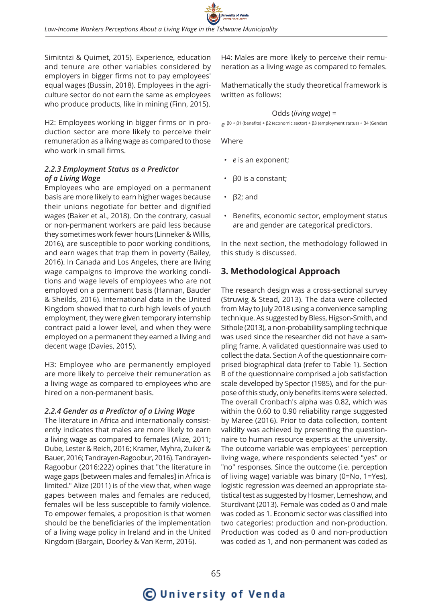Simitntzi & Quimet, 2015). Experience, education and tenure are other variables considered by employers in bigger firms not to pay employees' equal wages (Bussin, 2018). Employees in the agriculture sector do not earn the same as employees who produce products, like in mining (Finn, 2015).

H2: Employees working in bigger firms or in production sector are more likely to perceive their remuneration as a living wage as compared to those who work in small firms.

#### *2.2.3 Employment Status as a Predictor of a Living Wage*

Employees who are employed on a permanent basis are more likely to earn higher wages because their unions negotiate for better and dignified wages (Baker et al., 2018). On the contrary, casual or non-permanent workers are paid less because they sometimes work fewer hours (Linneker & Willis, 2016), are susceptible to poor working conditions, and earn wages that trap them in poverty (Bailey, 2016). In Canada and Los Angeles, there are living wage campaigns to improve the working conditions and wage levels of employees who are not employed on a permanent basis (Hannan, Bauder & Sheilds, 2016). International data in the United Kingdom showed that to curb high levels of youth employment, they were given temporary internship contract paid a lower level, and when they were employed on a permanent they earned a living and decent wage (Davies, 2015).

H3: Employee who are permanently employed are more likely to perceive their remuneration as a living wage as compared to employees who are hired on a non-permanent basis.

#### *2.2.4 Gender as a Predictor of a Living Wage*

The literature in Africa and internationally consistently indicates that males are more likely to earn a living wage as compared to females (Alize, 2011; Dube, Lester & Reich, 2016; Kramer, Myhra, Zuiker & Bauer, 2016; Tandrayen-Ragoobur, 2016). Tandrayen-Ragoobur (2016:222) opines that "the literature in wage gaps [between males and females] in Africa is limited." Alize (2011) is of the view that, when wage gapes between males and females are reduced, females will be less susceptible to family violence. To empower females, a proposition is that women should be the beneficiaries of the implementation of a living wage policy in Ireland and in the United Kingdom (Bargain, Doorley & Van Kerm, 2016).

H4: Males are more likely to perceive their remuneration as a living wage as compared to females.

Mathematically the study theoretical framework is written as follows:

#### Odds (*living wage*) =

*e* β0 + β1 (benefits) + β2 (economic sector) + β3 (employment status) + β4 (Gender)

Where

- *• e* is an exponent;
- β0 is a constant;
- β2; and
- Benefits, economic sector, employment status are and gender are categorical predictors.

In the next section, the methodology followed in this study is discussed.

## **3. Methodological Approach**

The research design was a cross-sectional survey (Struwig & Stead, 2013). The data were collected from May to July 2018 using a convenience sampling technique. As suggested by Bless, Higson-Smith, and Sithole (2013), a non-probability sampling technique was used since the researcher did not have a sampling frame. A validated questionnaire was used to collect the data. Section A of the questionnaire comprised biographical data (refer to Table 1). Section B of the questionnaire comprised a job satisfaction scale developed by Spector (1985), and for the purpose of this study, only benefits items were selected. The overall Cronbach's alpha was 0.82, which was within the 0.60 to 0.90 reliability range suggested by Maree (2016). Prior to data collection, content validity was achieved by presenting the questionnaire to human resource experts at the university. The outcome variable was employees' perception living wage, where respondents selected "yes" or "no" responses. Since the outcome (i.e. perception of living wage) variable was binary (0=No, 1=Yes), logistic regression was deemed an appropriate statistical test as suggested by Hosmer, Lemeshow, and Sturdivant (2013). Female was coded as 0 and male was coded as 1. Economic sector was classified into two categories: production and non-production. Production was coded as 0 and non-production was coded as 1, and non-permanent was coded as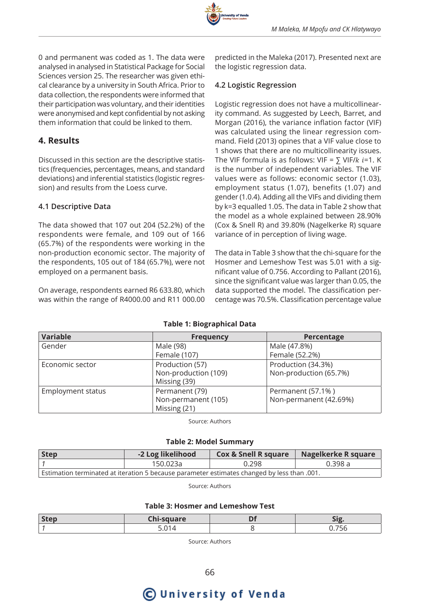

0 and permanent was coded as 1. The data were analysed in analysed in Statistical Package for Social Sciences version 25. The researcher was given ethical clearance by a university in South Africa. Prior to data collection, the respondents were informed that their participation was voluntary, and their identities were anonymised and kept confidential by not asking them information that could be linked to them.

### **4. Results**

Discussed in this section are the descriptive statistics (frequencies, percentages, means, and standard deviations) and inferential statistics (logistic regression) and results from the Loess curve.

#### **4.1 Descriptive Data**

The data showed that 107 out 204 (52.2%) of the respondents were female, and 109 out of 166 (65.7%) of the respondents were working in the non-production economic sector. The majority of the respondents, 105 out of 184 (65.7%), were not employed on a permanent basis.

On average, respondents earned R6 633.80, which was within the range of R4000.00 and R11 000.00

predicted in the Maleka (2017). Presented next are the logistic regression data.

#### **4.2 Logistic Regression**

Logistic regression does not have a multicollinearity command. As suggested by Leech, Barret, and Morgan (2016), the variance inflation factor (VIF) was calculated using the linear regression command. Field (2013) opines that a VIF value close to 1 shows that there are no multicollinearity issues. The VIF formula is as follows: VIF =  $\sum$  VIF/ $k$  i=1. K is the number of independent variables. The VIF values were as follows: economic sector (1.03), employment status (1.07), benefits (1.07) and gender (1.0.4). Adding all the VIFs and dividing them by k=3 equalled 1.05. The data in Table 2 show that the model as a whole explained between 28.90% (Cox & Snell R) and 39.80% (Nagelkerke R) square variance of in perception of living wage.

The data in Table 3 show that the chi-square for the Hosmer and Lemeshow Test was 5.01 with a significant value of 0.756. According to Pallant (2016), since the significant value was larger than 0.05, the data supported the model. The classification percentage was 70.5%. Classification percentage value

#### **Table 1: Biographical Data**

| <b>Variable</b>   | <b>Frequency</b>     | Percentage             |
|-------------------|----------------------|------------------------|
| Gender            | Male (98)            | Male (47.8%)           |
|                   | Female (107)         | Female (52.2%)         |
| Economic sector   | Production (57)      | Production (34.3%)     |
|                   | Non-production (109) | Non-production (65.7%) |
|                   | Missing (39)         |                        |
| Employment status | Permanent (79)       | Permanent (57.1%)      |
|                   | Non-permanent (105)  | Non-permanent (42.69%) |
|                   | Missing (21)         |                        |

Source: Authors

**Table 2: Model Summary**

| <b>Step</b>                                                                                 | -2 Log likelihood | <b>Cox &amp; Snell R square</b> | Nagelkerke R square |  |  |  |
|---------------------------------------------------------------------------------------------|-------------------|---------------------------------|---------------------|--|--|--|
|                                                                                             | 150.023a          | 0.298                           | 0.398a              |  |  |  |
| .001. Estimation terminated at iteration 5 because parameter estimates changed by less than |                   |                                 |                     |  |  |  |

Source: Authors

#### **Table 3: Hosmer and Lemeshow Test**

| <b>Step</b> | COUNTRO        | - |     |
|-------------|----------------|---|-----|
|             | $\overline{ }$ |   | - - |

Source: Authors

# **C** University of Venda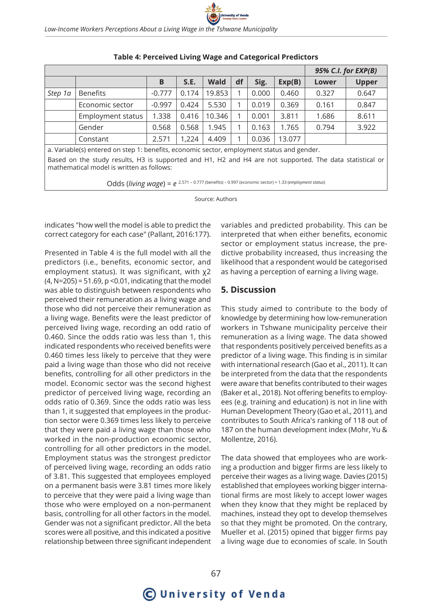|                                                                                           |                   |          |       |             |    | 95% C.I. for EXP(B) |        |       |              |
|-------------------------------------------------------------------------------------------|-------------------|----------|-------|-------------|----|---------------------|--------|-------|--------------|
|                                                                                           |                   | В        | S.E.  | <b>Wald</b> | df | Sig.                | Exp(B) | Lower | <b>Upper</b> |
| Step 1a                                                                                   | <b>Benefits</b>   | $-0.777$ | 0.174 | 19.853      |    | 0.000               | 0.460  | 0.327 | 0.647        |
|                                                                                           | Economic sector   | $-0.997$ | 0.424 | 5.530       |    | 0.019               | 0.369  | 0.161 | 0.847        |
|                                                                                           | Employment status | 1.338    | 0.416 | 10.346      |    | 0.001               | 3.811  | 1.686 | 8.611        |
|                                                                                           | Gender            | 0.568    | 0.568 | 1.945       |    | 0.163               | 1.765  | 0.794 | 3.922        |
|                                                                                           | Constant          | 2.571    | 1,224 | 4.409       |    | 0.036               | 13.077 |       |              |
| a Variable/s) entered en step 1; benefits, escapamis sester, employment status and gender |                   |          |       |             |    |                     |        |       |              |

#### **Table 4: Perceived Living Wage and Categorical Predictors**

a. Variable(s) entered on step 1: benefits, economic sector, employment status and gender. Based on the study results, H3 is supported and H1, H2 and H4 are not supported. The data statistical or mathematical model is written as follows:

Odds (*living wage*) = *e* 2.571 – 0.777 (benefits) – 0.997 (economic sector) + 1.33 (*employment status*)

Source: Authors

indicates "how well the model is able to predict the correct category for each case" (Pallant, 2016:177).

Presented in Table 4 is the full model with all the predictors (i.e., benefits, economic sector, and employment status). It was significant, with χ2 (4, N=205) = 51.69, p <0.01, indicating that the model was able to distinguish between respondents who perceived their remuneration as a living wage and those who did not perceive their remuneration as a living wage. Benefits were the least predictor of perceived living wage, recording an odd ratio of 0.460. Since the odds ratio was less than 1, this indicated respondents who received benefits were 0.460 times less likely to perceive that they were paid a living wage than those who did not receive benefits, controlling for all other predictors in the model. Economic sector was the second highest predictor of perceived living wage, recording an odds ratio of 0.369. Since the odds ratio was less than 1, it suggested that employees in the production sector were 0.369 times less likely to perceive that they were paid a living wage than those who worked in the non-production economic sector, controlling for all other predictors in the model. Employment status was the strongest predictor of perceived living wage, recording an odds ratio of 3.81. This suggested that employees employed on a permanent basis were 3.81 times more likely to perceive that they were paid a living wage than those who were employed on a non-permanent basis, controlling for all other factors in the model. Gender was not a significant predictor. All the beta scores were all positive, and this indicated a positive relationship between three significant independent

variables and predicted probability. This can be interpreted that when either benefits, economic sector or employment status increase, the predictive probability increased, thus increasing the likelihood that a respondent would be categorised as having a perception of earning a living wage.

## **5. Discussion**

This study aimed to contribute to the body of knowledge by determining how low-remuneration workers in Tshwane municipality perceive their remuneration as a living wage. The data showed that respondents positively perceived benefits as a predictor of a living wage. This finding is in similar with international research (Gao et al., 2011). It can be interpreted from the data that the respondents were aware that benefits contributed to their wages (Baker et al., 2018). Not offering benefits to employees (e.g. training and education) is not in line with Human Development Theory (Gao et al., 2011), and contributes to South Africa's ranking of 118 out of 187 on the human development index (Mohr, Yu & Mollentze, 2016).

The data showed that employees who are working a production and bigger firms are less likely to perceive their wages as a living wage. Davies (2015) established that employees working bigger international firms are most likely to accept lower wages when they know that they might be replaced by machines, instead they opt to develop themselves so that they might be promoted. On the contrary, Mueller et al. (2015) opined that bigger firms pay a living wage due to economies of scale. In South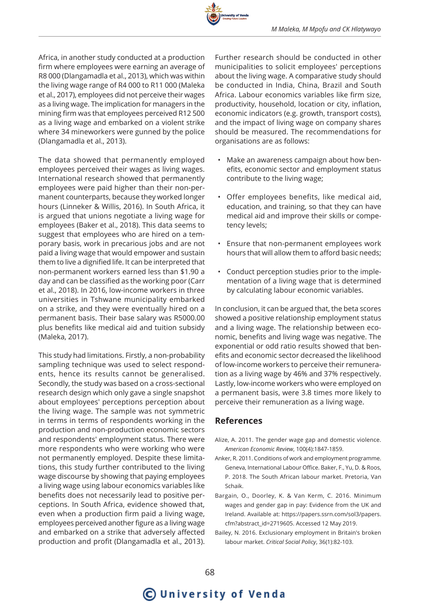

Africa, in another study conducted at a production firm where employees were earning an average of R8 000 (Dlangamadla et al., 2013), which was within the living wage range of R4 000 to R11 000 (Maleka et al., 2017), employees did not perceive their wages as a living wage. The implication for managers in the mining firm was that employees perceived R12 500 as a living wage and embarked on a violent strike where 34 mineworkers were gunned by the police (Dlangamadla et al., 2013).

The data showed that permanently employed employees perceived their wages as living wages. International research showed that permanently employees were paid higher than their non-permanent counterparts, because they worked longer hours (Linneker & Willis, 2016). In South Africa, it is argued that unions negotiate a living wage for employees (Baker et al., 2018). This data seems to suggest that employees who are hired on a temporary basis, work in precarious jobs and are not paid a living wage that would empower and sustain them to live a dignified life. It can be interpreted that non-permanent workers earned less than \$1.90 a day and can be classified as the working poor (Carr et al., 2018). In 2016, low-income workers in three universities in Tshwane municipality embarked on a strike, and they were eventually hired on a permanent basis. Their base salary was R5000.00 plus benefits like medical aid and tuition subsidy (Maleka, 2017).

This study had limitations. Firstly, a non-probability sampling technique was used to select respondents, hence its results cannot be generalised. Secondly, the study was based on a cross-sectional research design which only gave a single snapshot about employees' perceptions perception about the living wage. The sample was not symmetric in terms in terms of respondents working in the production and non-production economic sectors and respondents' employment status. There were more respondents who were working who were not permanently employed. Despite these limitations, this study further contributed to the living wage discourse by showing that paying employees a living wage using labour economics variables like benefits does not necessarily lead to positive perceptions. In South Africa, evidence showed that, even when a production firm paid a living wage, employees perceived another figure as a living wage and embarked on a strike that adversely affected production and profit (Dlangamadla et al., 2013).

Further research should be conducted in other municipalities to solicit employees' perceptions about the living wage. A comparative study should be conducted in India, China, Brazil and South Africa. Labour economics variables like firm size, productivity, household, location or city, inflation, economic indicators (e.g. growth, transport costs), and the impact of living wage on company shares should be measured. The recommendations for organisations are as follows:

- Make an awareness campaign about how benefits, economic sector and employment status contribute to the living wage;
- Offer employees benefits, like medical aid, education, and training, so that they can have medical aid and improve their skills or competency levels;
- Ensure that non-permanent employees work hours that will allow them to afford basic needs;
- Conduct perception studies prior to the implementation of a living wage that is determined by calculating labour economic variables.

In conclusion, it can be argued that, the beta scores showed a positive relationship employment status and a living wage. The relationship between economic, benefits and living wage was negative. The exponential or odd ratio results showed that benefits and economic sector decreased the likelihood of low-income workers to perceive their remuneration as a living wage by 46% and 37% respectively. Lastly, low-income workers who were employed on a permanent basis, were 3.8 times more likely to perceive their remuneration as a living wage.

## **References**

- Alize, A. 2011. The gender wage gap and domestic violence. *American Economic Review*, 100(4):1847-1859.
- Anker, R. 2011. Conditions of work and employment programme. Geneva, International Labour Office. Baker, F., Yu, D. & Roos, P. 2018. The South African labour market. Pretoria, Van Schaik.
- Bargain, O., Doorley, K. & Van Kerm, C. 2016. Minimum wages and gender gap in pay: Evidence from the UK and Ireland. Available at: https://papers.ssrn.com/sol3/papers. cfm?abstract\_id=2719605. Accessed 12 May 2019.
- Bailey, N. 2016. Exclusionary employment in Britain's broken labour market. *Critical Social Policy*, 36(1):82-103.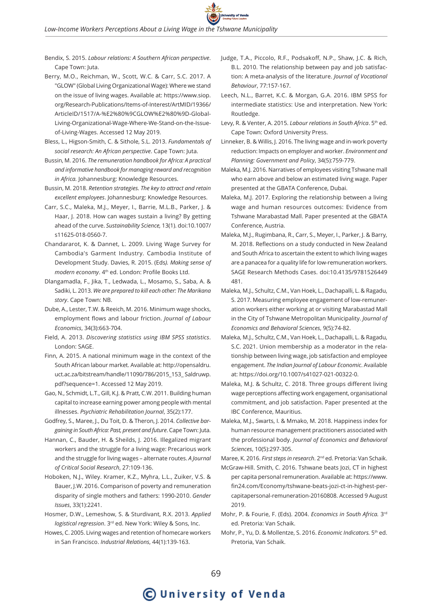Bendix, S. 2015. *Labour relations: A Southern African perspective*. Cape Town: Juta.

Berry, M.O., Reichman, W., Scott, W.C. & Carr, S.C. 2017. A "GLOW" (Global Living Organizational Wage): Where we stand on the issue of living wages. Available at: https://www.siop. org/Research-Publications/Items-of-Interest/ArtMID/19366/ ArticleID/1517/A-%E2%80%9CGLOW%E2%80%9D-Global-Living-Organizational-Wage-Where-We-Stand-on-the-Issueof-Living-Wages. Accessed 12 May 2019.

- Bless, L., Higson-Smith, C. & Sithole, S.L. 2013. *Fundamentals of social research: An African perspective*. Cape Town: Juta.
- Bussin, M. 2016. *The remuneration handbook for Africa: A practical and informative handbook for managing reward and recognition in Africa.* Johannesburg: Knowledge Resources.
- Bussin, M. 2018. *Retention strategies. The key to attract and retain excellent employees*. Johannesburg: Knowledge Resources.
- Carr, S.C., Maleka, M.J., Meyer, I., Barrie, M.L.B., Parker, J. & Haar, J. 2018. How can wages sustain a living? By getting ahead of the curve. *Sustainability Science,* 13(1). doi:10.1007/ s11625-018-0560-7.
- Chandararot, K. & Dannet, L. 2009. Living Wage Survey for Cambodia's Garment Industry. Cambodia Institute of Development Study. Davies, R. 2015. (Eds*). Making sense of modern economy*. 4th ed. London: Profile Books Ltd.
- Dlangamadla, F., Jika, T., Ledwada, L., Mosamo, S., Saba, A. & Sadiki, L. 2013. *We are prepared to kill each other: The Marikana story*. Cape Town: NB.
- Dube, A., Lester, T.W. & Reeich, M. 2016. Minimum wage shocks, employment flows and labour friction. *Journal of Labour Economics*, 34(3):663-704.
- Field, A. 2013. *Discovering statistics using IBM SPSS statistics*. London: SAGE.
- Finn, A. 2015. A national minimum wage in the context of the South African labour market. Available at: http://opensaldru. uct.ac.za/bitstream/handle/11090/786/2015\_153\_ Saldruwp. pdf?sequence=1. Accessed 12 May 2019.
- Gao, N., Schmidt, L.T., Gill, K.J. & Pratt, C.W. 2011. Building human capital to increase earning power among people with mental illnesses. *Psychiatric Rehabilitation Journal*, 35(2):177.
- Godfrey, S., Maree, J., Du Toit, D. & Theron, J. 2014. *Collective bargaining in South Africa: Past, present and future*. Cape Town: Juta.
- Hannan, C., Bauder, H. & Sheilds, J. 2016. Illegalized migrant workers and the struggle for a living wage: Precarious work and the struggle for living wages – alternate routes. *A Journal of Critical Social Research*, 27:109-136.
- Hoboken, N.J., Wiley. Kramer, K.Z., Myhra, L.L., Zuiker, V.S. & Bauer, J.W. 2016. Comparison of poverty and remuneration disparity of single mothers and fathers: 1990-2010. *Gender Issues*, 33(1):2241.
- Hosmer, D.W., Lemeshow, S. & Sturdivant, R.X. 2013. *Applied logistical regression*. 3rd ed. New York: Wiley & Sons, Inc.
- Howes, C. 2005. Living wages and retention of homecare workers in San Francisco. *Industrial Relations*, 44(1):139-163.
- Judge, T.A., Piccolo, R.F., Podsakoff, N.P., Shaw, J.C. & Rich, B.L. 2010. The relationship between pay and job satisfaction: A meta-analysis of the literature. *Journal of Vocational Behaviour*, 77:157-167.
- Leech, N.L., Barret, K.C. & Morgan, G.A. 2016. IBM SPSS for intermediate statistics: Use and interpretation. New York: Routledge.
- Levy, R. & Venter, A. 2015. *Labour relations in South Africa*. 5th ed. Cape Town: Oxford University Press.
- Linneker, B. & Willis, J. 2016. The living wage and in-work poverty reduction: Impacts on employer and worker. *Environment and Planning: Government and Policy*, 34(5):759-779.
- Maleka, M.J. 2016. Narratives of employees visiting Tshwane mall who earn above and below an estimated living wage. Paper presented at the GBATA Conference, Dubai.
- Maleka, M.J. 2017. Exploring the relationship between a living wage and human resources outcomes: Evidence from Tshwane Marabastad Mall. Paper presented at the GBATA Conference, Austria.
- Maleka, M.J., Rugimbana, R., Carr, S., Meyer, I., Parker, J. & Barry, M. 2018. Reflections on a study conducted in New Zealand and South Africa to ascertain the extent to which living wages are a panacea for a quality life for low-remuneration workers. SAGE Research Methods Cases. doi:10.4135/9781526449 481.
- Maleka, M.J., Schultz, C.M., Van Hoek, L., Dachapalli, L. & Ragadu, S. 2017. Measuring employee engagement of low-remuneration workers either working at or visiting Marabastad Mall in the City of Tshwane Metropolitan Municipality. *Journal of Economics and Behavioral Sciences*, 9(5):74-82.
- Maleka, M.J., Schultz, C.M., Van Hoek, L., Dachapalli, L. & Ragadu, S.C. 2021. Union membership as a moderator in the relationship between living wage, job satisfaction and employee engagement. *The Indian Journal of Labour Economic*. Available at: https://doi.org/10.1007/s41027-021-00322-0.
- Maleka, M.J. & Schultz, C. 2018. Three groups different living wage perceptions affecting work engagement, organisational commitment, and job satisfaction. Paper presented at the IBC Conference, Mauritius.
- Maleka, M.J., Swarts, I. & Mmako, M. 2018. Happiness index for human resource management practitioners associated with the professional body. *Journal of Economics and Behavioral Sciences*, 10(5):297-305.

Maree, K. 2016. *First steps in research*. 2nd ed. Pretoria: Van Schaik.

- McGraw-Hill. Smith, C. 2016. Tshwane beats Jozi, CT in highest per capita personal remuneration. Available at: https://www. fin24.com/Economy/tshwane-beats-jozi-ct-in-highest-percapitapersonal-remuneration-20160808. Accessed 9 August 2019.
- Mohr, P. & Fourie, F. (Eds). 2004. *Economics in South Africa.* 3rd ed. Pretoria: Van Schaik.
- Mohr, P., Yu, D. & Mollentze, S. 2016. *Economic Indicators.* 5th ed. Pretoria, Van Schaik.

# C University of Venda